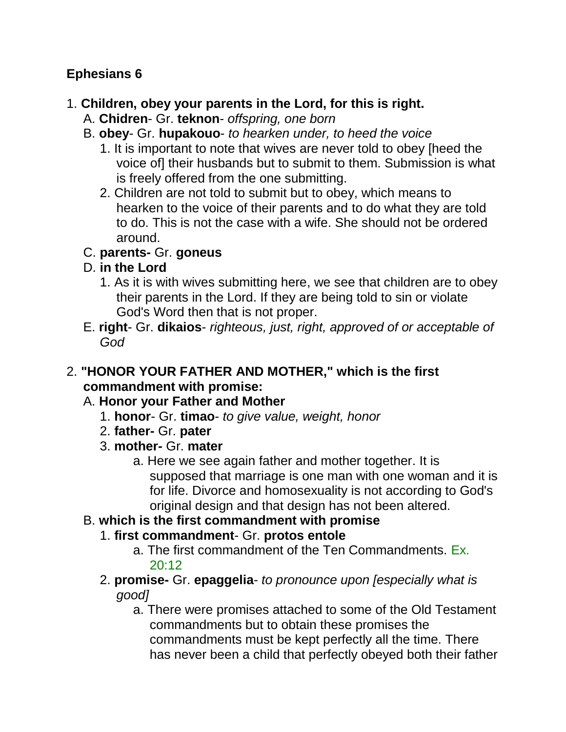## **Ephesians 6**

### 1. **Children, obey your parents in the Lord, for this is right.**

- A. **Chidren** Gr. **teknon** *offspring, one born*
- B. **obey** Gr. **hupakouo** *to hearken under, to heed the voice*
	- 1. It is important to note that wives are never told to obey [heed the voice of] their husbands but to submit to them. Submission is what is freely offered from the one submitting.
	- 2. Children are not told to submit but to obey, which means to hearken to the voice of their parents and to do what they are told to do. This is not the case with a wife. She should not be ordered around.

## C. **parents-** Gr. **goneus**

## D. **in the Lord**

- 1. As it is with wives submitting here, we see that children are to obey their parents in the Lord. If they are being told to sin or violate God's Word then that is not proper.
- E. **right** Gr. **dikaios** *righteous, just, right, approved of or acceptable of God*

#### 2. **"HONOR YOUR FATHER AND MOTHER," which is the first commandment with promise:**

## A. **Honor your Father and Mother**

- 1. **honor** Gr. **timao** *to give value, weight, honor*
- 2. **father-** Gr. **pater**
- 3. **mother-** Gr. **mater**
	- a. Here we see again father and mother together. It is supposed that marriage is one man with one woman and it is for life. Divorce and homosexuality is not according to God's original design and that design has not been altered.

## B. **which is the first commandment with promise**

- 1. **first commandment** Gr. **protos entole**
	- a. The first commandment of the Ten Commandments. Ex. 20:12
- 2. **promise-** Gr. **epaggelia** *to pronounce upon [especially what is good]*
	- a. There were promises attached to some of the Old Testament commandments but to obtain these promises the commandments must be kept perfectly all the time. There has never been a child that perfectly obeyed both their father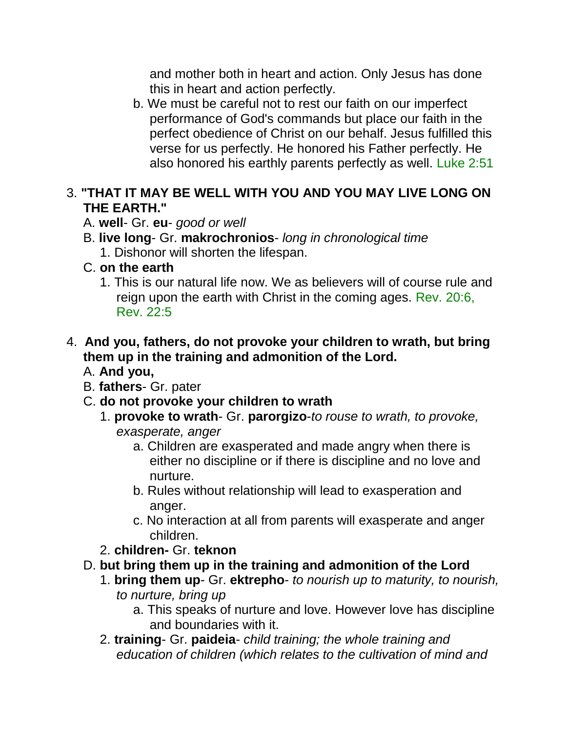and mother both in heart and action. Only Jesus has done this in heart and action perfectly.

b. We must be careful not to rest our faith on our imperfect performance of God's commands but place our faith in the perfect obedience of Christ on our behalf. Jesus fulfilled this verse for us perfectly. He honored his Father perfectly. He also honored his earthly parents perfectly as well. Luke 2:51

#### 3. **"THAT IT MAY BE WELL WITH YOU AND YOU MAY LIVE LONG ON THE EARTH."**

- A. **well** Gr. **eu** *good or well*
- B. **live long** Gr. **makrochronios** *long in chronological time* 1. Dishonor will shorten the lifespan.
- C. **on the earth**
	- 1. This is our natural life now. We as believers will of course rule and reign upon the earth with Christ in the coming ages. Rev. 20:6, Rev. 22:5

### 4. **And you, fathers, do not provoke your children to wrath, but bring them up in the training and admonition of the Lord.**

- A. **And you,**
- B. **fathers** Gr. pater
- C. **do not provoke your children to wrath**
	- 1. **provoke to wrath** Gr. **parorgizo**-*to rouse to wrath, to provoke, exasperate, anger*
		- a. Children are exasperated and made angry when there is either no discipline or if there is discipline and no love and nurture.
		- b. Rules without relationship will lead to exasperation and anger.
		- c. No interaction at all from parents will exasperate and anger children.
	- 2. **children-** Gr. **teknon**
- D. **but bring them up in the training and admonition of the Lord**
	- 1. **bring them up** Gr. **ektrepho** *to nourish up to maturity, to nourish, to nurture, bring up*
		- a. This speaks of nurture and love. However love has discipline and boundaries with it.
	- 2. **training** Gr. **paideia** *child training; the whole training and education of children (which relates to the cultivation of mind and*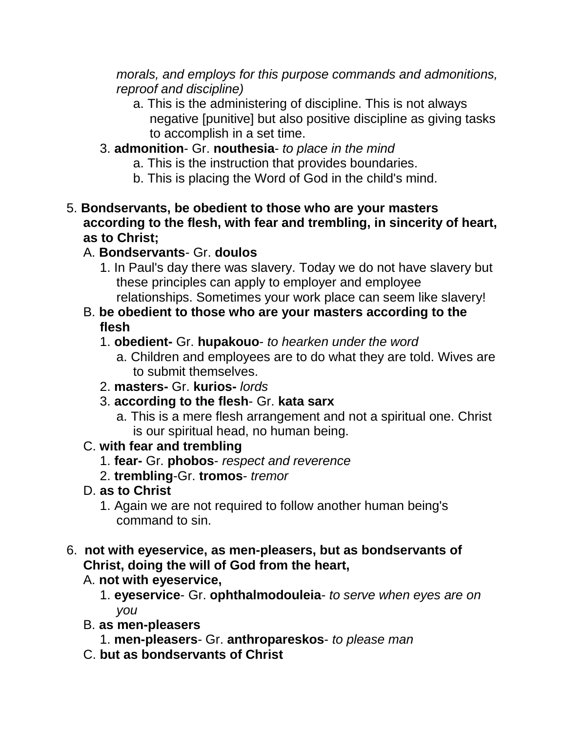*morals, and employs for this purpose commands and admonitions, reproof and discipline)* 

- a. This is the administering of discipline. This is not always negative [punitive] but also positive discipline as giving tasks to accomplish in a set time.
- 3. **admonition** Gr. **nouthesia** *to place in the mind*
	- a. This is the instruction that provides boundaries.
	- b. This is placing the Word of God in the child's mind.
- 5. **Bondservants, be obedient to those who are your masters according to the flesh, with fear and trembling, in sincerity of heart, as to Christ;**
	- A. **Bondservants** Gr. **doulos**
		- 1. In Paul's day there was slavery. Today we do not have slavery but these principles can apply to employer and employee relationships. Sometimes your work place can seem like slavery!
	- B. **be obedient to those who are your masters according to the flesh**
		- 1. **obedient-** Gr. **hupakouo** *to hearken under the word*
			- a. Children and employees are to do what they are told. Wives are to submit themselves.
		- 2. **masters-** Gr. **kurios-** *lords*
		- 3. **according to the flesh** Gr. **kata sarx**
			- a. This is a mere flesh arrangement and not a spiritual one. Christ is our spiritual head, no human being.

## C. **with fear and trembling**

- 1. **fear-** Gr. **phobos** *respect and reverence*
- 2. **trembling**-Gr. **tromos** *tremor*
- D. **as to Christ**
	- 1. Again we are not required to follow another human being's command to sin.
- 6. **not with eyeservice, as men-pleasers, but as bondservants of Christ, doing the will of God from the heart,** 
	- A. **not with eyeservice,**
		- 1. **eyeservice** Gr. **ophthalmodouleia** *to serve when eyes are on you*
	- B. **as men-pleasers**
		- 1. **men-pleasers** Gr. **anthropareskos** *to please man*
	- C. **but as bondservants of Christ**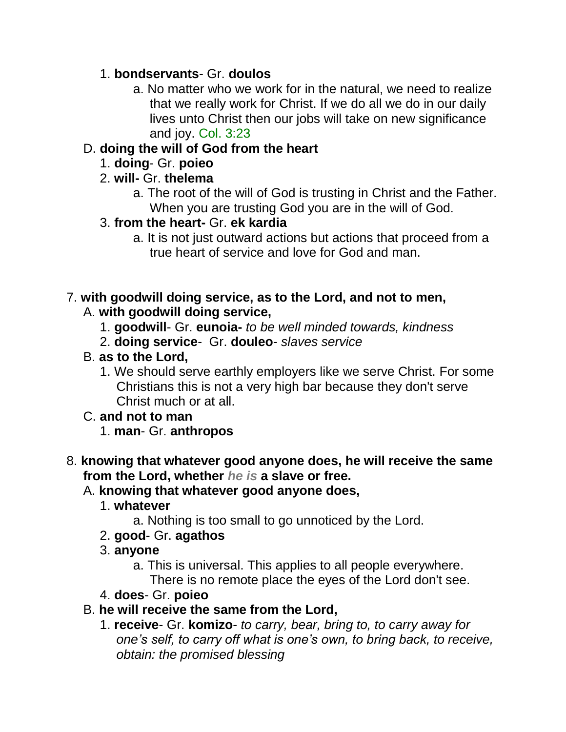## 1. **bondservants**- Gr. **doulos**

a. No matter who we work for in the natural, we need to realize that we really work for Christ. If we do all we do in our daily lives unto Christ then our jobs will take on new significance and joy. Col. 3:23

## D. **doing the will of God from the heart**

- 1. **doing** Gr. **poieo**
- 2. **will-** Gr. **thelema**
	- a. The root of the will of God is trusting in Christ and the Father. When you are trusting God you are in the will of God.
- 3. **from the heart-** Gr. **ek kardia**
	- a. It is not just outward actions but actions that proceed from a true heart of service and love for God and man.

# 7. **with goodwill doing service, as to the Lord, and not to men,**

- A. **with goodwill doing service,**
	- 1. **goodwill** Gr. **eunoia-** *to be well minded towards, kindness*
	- 2. **doing service** Gr. **douleo** *slaves service*
- B. **as to the Lord,**
	- 1. We should serve earthly employers like we serve Christ. For some Christians this is not a very high bar because they don't serve Christ much or at all.

### C. **and not to man**

1. **man**- Gr. **anthropos**

## 8. **knowing that whatever good anyone does, he will receive the same from the Lord, whether** *he is* **a slave or free.**

### A. **knowing that whatever good anyone does,**

- 1. **whatever**
	- a. Nothing is too small to go unnoticed by the Lord.
- 2. **good** Gr. **agathos**
- 3. **anyone**
	- a. This is universal. This applies to all people everywhere. There is no remote place the eyes of the Lord don't see.
- 4. **does** Gr. **poieo**
- B. **he will receive the same from the Lord,**
	- 1. **receive** Gr. **komizo** *to carry, bear, bring to, to carry away for one's self, to carry off what is one's own, to bring back, to receive, obtain: the promised blessing*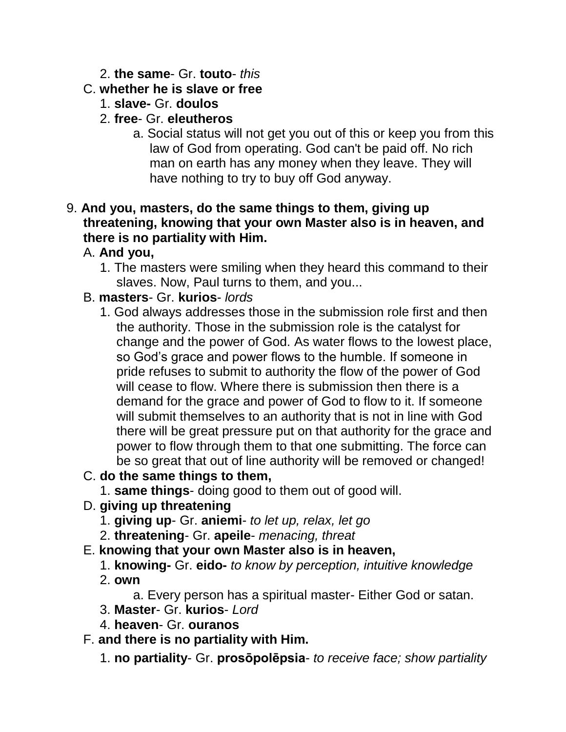#### 2. **the same**- Gr. **touto**- *this*

### C. **whether he is slave or free**

- 1. **slave-** Gr. **doulos**
- 2. **free** Gr. **eleutheros**
	- a. Social status will not get you out of this or keep you from this law of God from operating. God can't be paid off. No rich man on earth has any money when they leave. They will have nothing to try to buy off God anyway.

#### 9. **And you, masters, do the same things to them, giving up threatening, knowing that your own Master also is in heaven, and there is no partiality with Him.**

## A. **And you,**

1. The masters were smiling when they heard this command to their slaves. Now, Paul turns to them, and you...

### B. **masters**- Gr. **kurios**- *lords*

1. God always addresses those in the submission role first and then the authority. Those in the submission role is the catalyst for change and the power of God. As water flows to the lowest place, so God's grace and power flows to the humble. If someone in pride refuses to submit to authority the flow of the power of God will cease to flow. Where there is submission then there is a demand for the grace and power of God to flow to it. If someone will submit themselves to an authority that is not in line with God there will be great pressure put on that authority for the grace and power to flow through them to that one submitting. The force can be so great that out of line authority will be removed or changed!

## C. **do the same things to them,**

- 1. **same things** doing good to them out of good will.
- D. **giving up threatening**
	- 1. **giving up** Gr. **aniemi** *to let up, relax, let go*
	- 2. **threatening** Gr. **apeile** *menacing, threat*

### E. **knowing that your own Master also is in heaven,**

1. **knowing-** Gr. **eido-** *to know by perception, intuitive knowledge* 2. **own**

a. Every person has a spiritual master- Either God or satan.

- 3. **Master** Gr. **kurios** *Lord*
- 4. **heaven** Gr. **ouranos**

### F. **and there is no partiality with Him.**

1. **no partiality**- Gr. **prosōpolēpsia**- *to receive face; show partiality*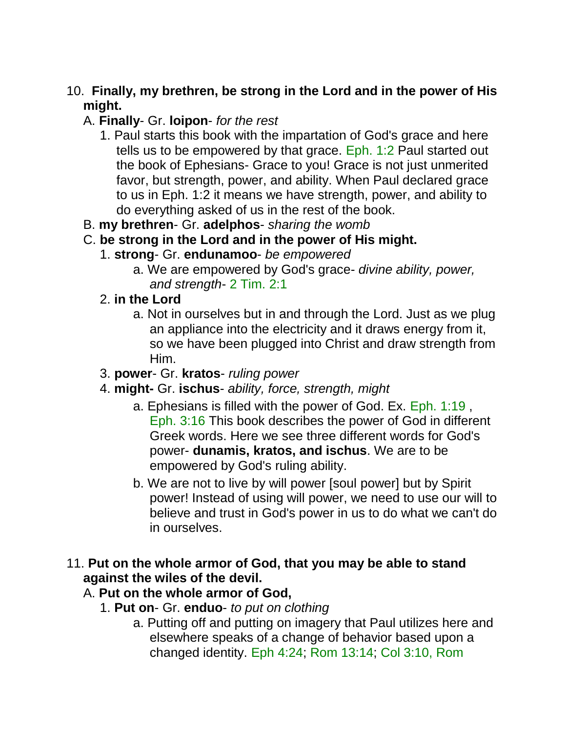### 10. **Finally, my brethren, be strong in the Lord and in the power of His might.**

## A. **Finally**- Gr. **loipon**- *for the rest*

- 1. Paul starts this book with the impartation of God's grace and here tells us to be empowered by that grace. Eph. 1:2 Paul started out the book of Ephesians- Grace to you! Grace is not just unmerited favor, but strength, power, and ability. When Paul declared grace to us in Eph. 1:2 it means we have strength, power, and ability to do everything asked of us in the rest of the book.
- B. **my brethren** Gr. **adelphos** *sharing the womb*

## C. **be strong in the Lord and in the power of His might.**

- 1. **strong** Gr. **endunamoo** *be empowered*
	- a. We are empowered by God's grace- *divine ability, power, and strength*- 2 Tim. 2:1
- 2. **in the Lord**
	- a. Not in ourselves but in and through the Lord. Just as we plug an appliance into the electricity and it draws energy from it, so we have been plugged into Christ and draw strength from Him.
- 3. **power** Gr. **kratos** *ruling power*
- 4. **might-** Gr. **ischus** *ability, force, strength, might*
	- a. Ephesians is filled with the power of God. Ex. Eph. 1:19 , Eph. 3:16 This book describes the power of God in different Greek words. Here we see three different words for God's power- **dunamis, kratos, and ischus**. We are to be empowered by God's ruling ability.
	- b. We are not to live by will power [soul power] but by Spirit power! Instead of using will power, we need to use our will to believe and trust in God's power in us to do what we can't do in ourselves.

### 11. **Put on the whole armor of God, that you may be able to stand against the wiles of the devil.**

## A. **Put on the whole armor of God,**

- 1. **Put on** Gr. **enduo** *to put on clothing*
	- a. Putting off and putting on imagery that Paul utilizes here and elsewhere speaks of a change of behavior based upon a changed identity. Eph 4:24; Rom 13:14; Col 3:10, Rom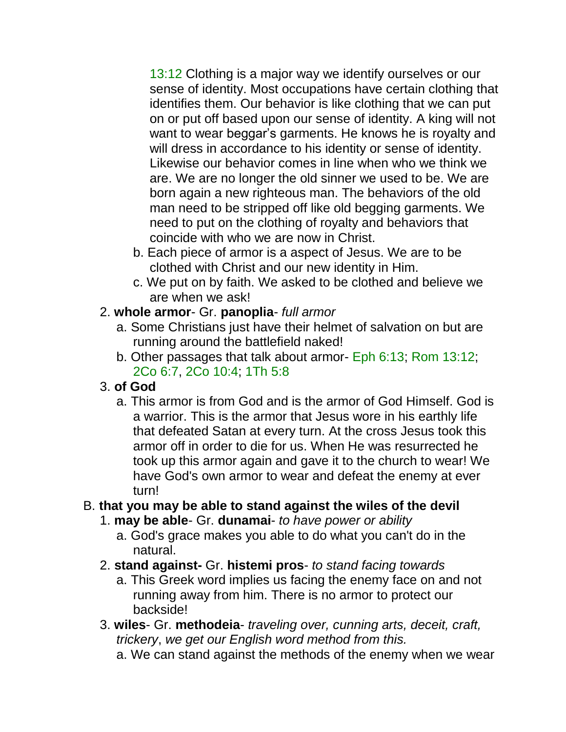13:12 Clothing is a major way we identify ourselves or our sense of identity. Most occupations have certain clothing that identifies them. Our behavior is like clothing that we can put on or put off based upon our sense of identity. A king will not want to wear beggar's garments. He knows he is royalty and will dress in accordance to his identity or sense of identity. Likewise our behavior comes in line when who we think we are. We are no longer the old sinner we used to be. We are born again a new righteous man. The behaviors of the old man need to be stripped off like old begging garments. We need to put on the clothing of royalty and behaviors that coincide with who we are now in Christ.

- b. Each piece of armor is a aspect of Jesus. We are to be clothed with Christ and our new identity in Him.
- c. We put on by faith. We asked to be clothed and believe we are when we ask!

## 2. **whole armor**- Gr. **panoplia**- *full armor*

- a. Some Christians just have their helmet of salvation on but are running around the battlefield naked!
- b. Other passages that talk about armor- Eph 6:13; Rom 13:12; 2Co 6:7, 2Co 10:4; 1Th 5:8

## 3. **of God**

a. This armor is from God and is the armor of God Himself. God is a warrior. This is the armor that Jesus wore in his earthly life that defeated Satan at every turn. At the cross Jesus took this armor off in order to die for us. When He was resurrected he took up this armor again and gave it to the church to wear! We have God's own armor to wear and defeat the enemy at ever turn!

## B. **that you may be able to stand against the wiles of the devil**

- 1. **may be able** Gr. **dunamai** *to have power or ability*
	- a. God's grace makes you able to do what you can't do in the natural.
- 2. **stand against-** Gr. **histemi pros** *to stand facing towards*
	- a. This Greek word implies us facing the enemy face on and not running away from him. There is no armor to protect our backside!
- 3. **wiles** Gr. **methodeia** *traveling over, cunning arts, deceit, craft, trickery*, *we get our English word method from this.* 
	- a. We can stand against the methods of the enemy when we wear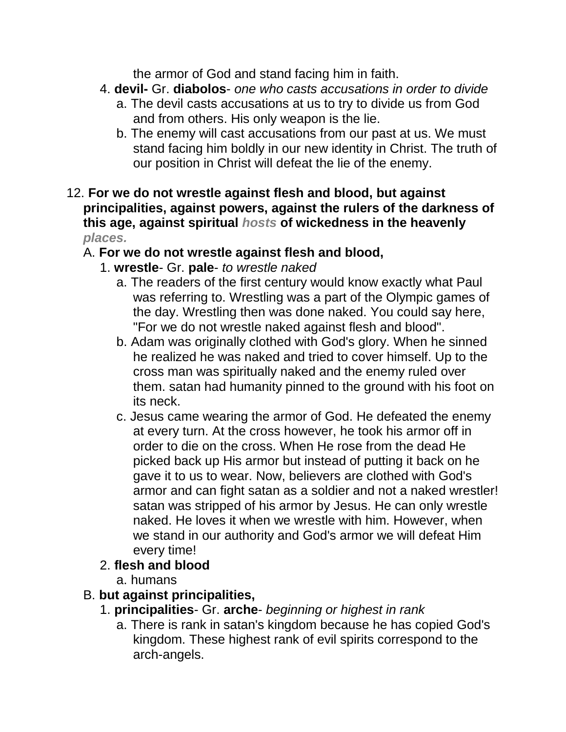the armor of God and stand facing him in faith.

- 4. **devil-** Gr. **diabolos** *one who casts accusations in order to divide*
	- a. The devil casts accusations at us to try to divide us from God and from others. His only weapon is the lie.
	- b. The enemy will cast accusations from our past at us. We must stand facing him boldly in our new identity in Christ. The truth of our position in Christ will defeat the lie of the enemy.
- 12. **For we do not wrestle against flesh and blood, but against principalities, against powers, against the rulers of the darkness of this age, against spiritual** *hosts* **of wickedness in the heavenly**  *places.*

### A. **For we do not wrestle against flesh and blood,**

- 1. **wrestle** Gr. **pale** *to wrestle naked*
	- a. The readers of the first century would know exactly what Paul was referring to. Wrestling was a part of the Olympic games of the day. Wrestling then was done naked. You could say here, "For we do not wrestle naked against flesh and blood".
	- b. Adam was originally clothed with God's glory. When he sinned he realized he was naked and tried to cover himself. Up to the cross man was spiritually naked and the enemy ruled over them. satan had humanity pinned to the ground with his foot on its neck.
	- c. Jesus came wearing the armor of God. He defeated the enemy at every turn. At the cross however, he took his armor off in order to die on the cross. When He rose from the dead He picked back up His armor but instead of putting it back on he gave it to us to wear. Now, believers are clothed with God's armor and can fight satan as a soldier and not a naked wrestler! satan was stripped of his armor by Jesus. He can only wrestle naked. He loves it when we wrestle with him. However, when we stand in our authority and God's armor we will defeat Him every time!

### 2. **flesh and blood**

a. humans

## B. **but against principalities,**

- 1. **principalities** Gr. **arche** *beginning or highest in rank*
	- a. There is rank in satan's kingdom because he has copied God's kingdom. These highest rank of evil spirits correspond to the arch-angels.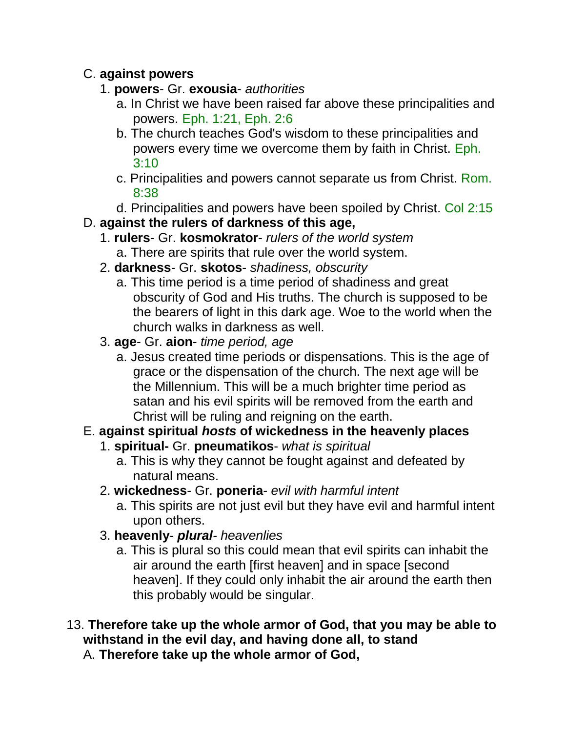### C. **against powers**

- 1. **powers** Gr. **exousia** *authorities*
	- a. In Christ we have been raised far above these principalities and powers. Eph. 1:21, Eph. 2:6
	- b. The church teaches God's wisdom to these principalities and powers every time we overcome them by faith in Christ. Eph. 3:10
	- c. Principalities and powers cannot separate us from Christ. Rom. 8:38
	- d. Principalities and powers have been spoiled by Christ. Col 2:15
- D. **against the rulers of darkness of this age,**
	- 1. **rulers** Gr. **kosmokrator** *rulers of the world system*
		- a. There are spirits that rule over the world system.
	- 2. **darkness** Gr. **skotos** *shadiness, obscurity*
		- a. This time period is a time period of shadiness and great obscurity of God and His truths. The church is supposed to be the bearers of light in this dark age. Woe to the world when the church walks in darkness as well.
	- 3. **age** Gr. **aion** *time period, age*
		- a. Jesus created time periods or dispensations. This is the age of grace or the dispensation of the church. The next age will be the Millennium. This will be a much brighter time period as satan and his evil spirits will be removed from the earth and Christ will be ruling and reigning on the earth.
- E. **against spiritual** *hosts* **of wickedness in the heavenly places**
	- 1. **spiritual-** Gr. **pneumatikos** *what is spiritual*
		- a. This is why they cannot be fought against and defeated by natural means.
	- 2. **wickedness** Gr. **poneria** *evil with harmful intent*
		- a. This spirits are not just evil but they have evil and harmful intent upon others.
	- 3. **heavenly** *plural- heavenlies*
		- a. This is plural so this could mean that evil spirits can inhabit the air around the earth [first heaven] and in space [second heaven]. If they could only inhabit the air around the earth then this probably would be singular.
- 13. **Therefore take up the whole armor of God, that you may be able to withstand in the evil day, and having done all, to stand**
	- A. **Therefore take up the whole armor of God,**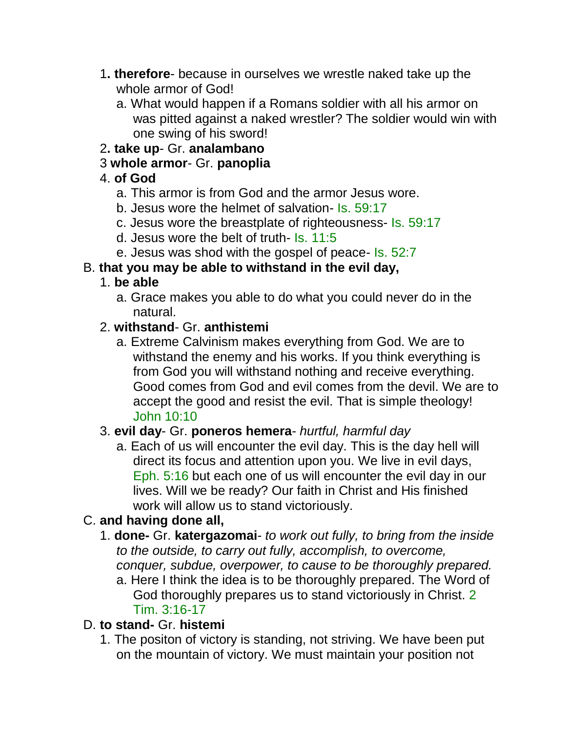- 1**. therefore** because in ourselves we wrestle naked take up the whole armor of God!
	- a. What would happen if a Romans soldier with all his armor on was pitted against a naked wrestler? The soldier would win with one swing of his sword!
- 2**. take up** Gr. **analambano**
- 3 **whole armor** Gr. **panoplia**

## 4. **of God**

- a. This armor is from God and the armor Jesus wore.
- b. Jesus wore the helmet of salvation- Is. 59:17
- c. Jesus wore the breastplate of righteousness- Is. 59:17
- d. Jesus wore the belt of truth- Is. 11:5
- e. Jesus was shod with the gospel of peace- Is. 52:7

## B. **that you may be able to withstand in the evil day,**

## 1. **be able**

a. Grace makes you able to do what you could never do in the natural.

## 2. **withstand**- Gr. **anthistemi**

a. Extreme Calvinism makes everything from God. We are to withstand the enemy and his works. If you think everything is from God you will withstand nothing and receive everything. Good comes from God and evil comes from the devil. We are to accept the good and resist the evil. That is simple theology! John 10:10

## 3. **evil day**- Gr. **poneros hemera**- *hurtful, harmful day*

a. Each of us will encounter the evil day. This is the day hell will direct its focus and attention upon you. We live in evil days, Eph. 5:16 but each one of us will encounter the evil day in our lives. Will we be ready? Our faith in Christ and His finished work will allow us to stand victoriously.

# C. **and having done all,**

- 1. **done-** Gr. **katergazomai** *to work out fully, to bring from the inside to the outside, to carry out fully, accomplish, to overcome, conquer, subdue, overpower, to cause to be thoroughly prepared.*
	- a. Here I think the idea is to be thoroughly prepared. The Word of God thoroughly prepares us to stand victoriously in Christ. 2 Tim. 3:16-17

## D. **to stand-** Gr. **histemi**

1. The positon of victory is standing, not striving. We have been put on the mountain of victory. We must maintain your position not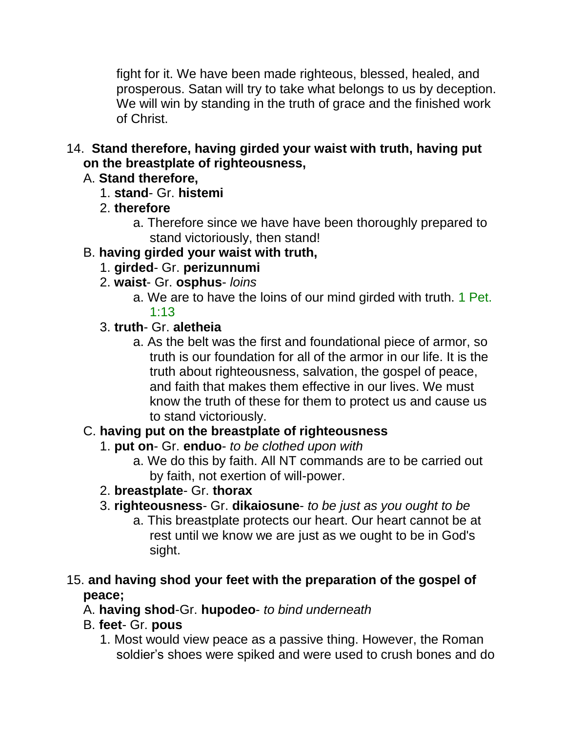fight for it. We have been made righteous, blessed, healed, and prosperous. Satan will try to take what belongs to us by deception. We will win by standing in the truth of grace and the finished work of Christ.

14. **Stand therefore, having girded your waist with truth, having put on the breastplate of righteousness,** 

## A. **Stand therefore,**

- 1. **stand** Gr. **histemi**
- 2. **therefore**
	- a. Therefore since we have have been thoroughly prepared to stand victoriously, then stand!

## B. **having girded your waist with truth,**

- 1. **girded** Gr. **perizunnumi**
- 2. **waist** Gr. **osphus** *loins*
	- a. We are to have the loins of our mind girded with truth. 1 Pet. 1:13

#### 3. **truth**- Gr. **aletheia**

a. As the belt was the first and foundational piece of armor, so truth is our foundation for all of the armor in our life. It is the truth about righteousness, salvation, the gospel of peace, and faith that makes them effective in our lives. We must know the truth of these for them to protect us and cause us to stand victoriously.

### C. **having put on the breastplate of righteousness**

- 1. **put on** Gr. **enduo** *to be clothed upon with*
	- a. We do this by faith. All NT commands are to be carried out by faith, not exertion of will-power.
- 2. **breastplate** Gr. **thorax**
- 3. **righteousness** Gr. **dikaiosune** *to be just as you ought to be*
	- a. This breastplate protects our heart. Our heart cannot be at rest until we know we are just as we ought to be in God's sight.

### 15. **and having shod your feet with the preparation of the gospel of peace;**

- A. **having shod**-Gr. **hupodeo** *to bind underneath*
- B. **feet** Gr. **pous**
	- 1. Most would view peace as a passive thing. However, the Roman soldier's shoes were spiked and were used to crush bones and do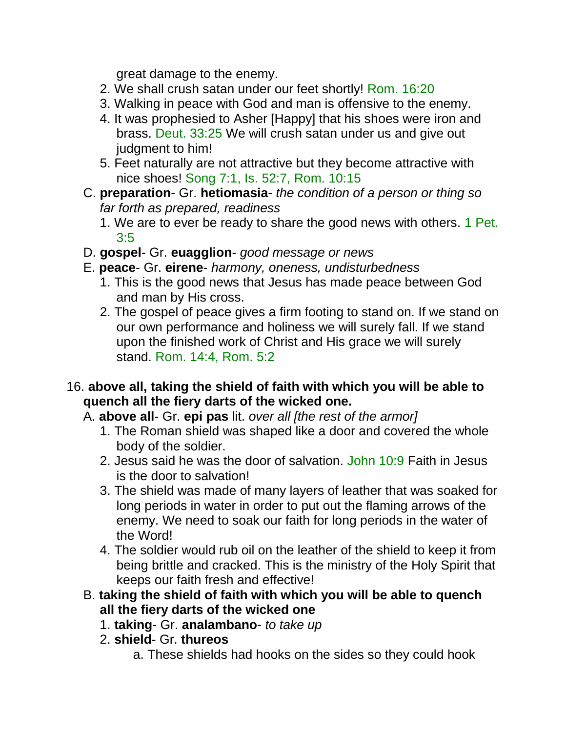great damage to the enemy.

- 2. We shall crush satan under our feet shortly! Rom. 16:20
- 3. Walking in peace with God and man is offensive to the enemy.
- 4. It was prophesied to Asher [Happy] that his shoes were iron and brass. Deut. 33:25 We will crush satan under us and give out judgment to him!
- 5. Feet naturally are not attractive but they become attractive with nice shoes! Song 7:1, Is. 52:7, Rom. 10:15
- C. **preparation** Gr. **hetiomasia** *the condition of a person or thing so far forth as prepared, readiness*
	- 1. We are to ever be ready to share the good news with others. 1 Pet. 3:5
- D. **gospel** Gr. **euagglion** *good message or news*
- E. **peace** Gr. **eirene** *harmony, oneness, undisturbedness*
	- 1. This is the good news that Jesus has made peace between God and man by His cross.
	- 2. The gospel of peace gives a firm footing to stand on. If we stand on our own performance and holiness we will surely fall. If we stand upon the finished work of Christ and His grace we will surely stand. Rom. 14:4, Rom. 5:2
- 16. **above all, taking the shield of faith with which you will be able to quench all the fiery darts of the wicked one.** 
	- A. **above all** Gr. **epi pas** lit. *over all [the rest of the armor]*
		- 1. The Roman shield was shaped like a door and covered the whole body of the soldier.
		- 2. Jesus said he was the door of salvation. John 10:9 Faith in Jesus is the door to salvation!
		- 3. The shield was made of many layers of leather that was soaked for long periods in water in order to put out the flaming arrows of the enemy. We need to soak our faith for long periods in the water of the Word!
		- 4. The soldier would rub oil on the leather of the shield to keep it from being brittle and cracked. This is the ministry of the Holy Spirit that keeps our faith fresh and effective!
	- B. **taking the shield of faith with which you will be able to quench all the fiery darts of the wicked one**
		- 1. **taking** Gr. **analambano** *to take up*
		- 2. **shield** Gr. **thureos**
			- a. These shields had hooks on the sides so they could hook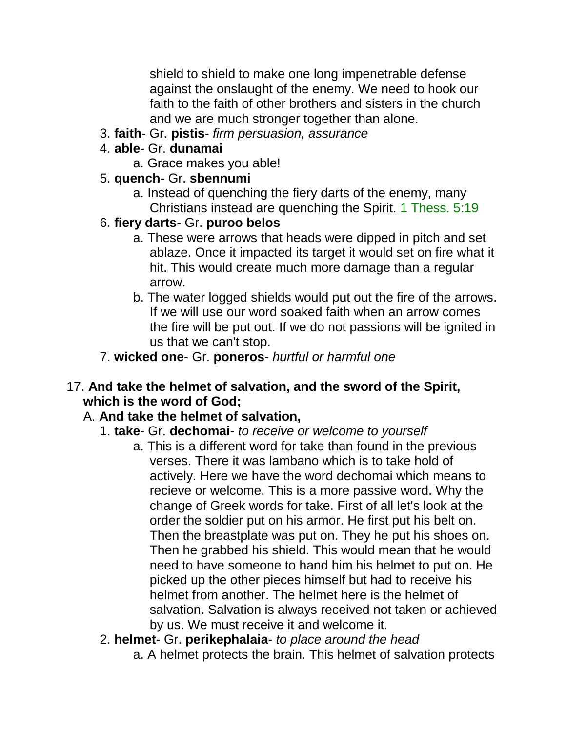shield to shield to make one long impenetrable defense against the onslaught of the enemy. We need to hook our faith to the faith of other brothers and sisters in the church and we are much stronger together than alone.

3. **faith**- Gr. **pistis**- *firm persuasion, assurance*

## 4. **able**- Gr. **dunamai**

a. Grace makes you able!

### 5. **quench**- Gr. **sbennumi**

a. Instead of quenching the fiery darts of the enemy, many Christians instead are quenching the Spirit. 1 Thess. 5:19

## 6. **fiery darts**- Gr. **puroo belos**

- a. These were arrows that heads were dipped in pitch and set ablaze. Once it impacted its target it would set on fire what it hit. This would create much more damage than a regular arrow.
- b. The water logged shields would put out the fire of the arrows. If we will use our word soaked faith when an arrow comes the fire will be put out. If we do not passions will be ignited in us that we can't stop.

## 7. **wicked one**- Gr. **poneros**- *hurtful or harmful one*

### 17. **And take the helmet of salvation, and the sword of the Spirit, which is the word of God;**

## A. **And take the helmet of salvation,**

## 1. **take**- Gr. **dechomai**- *to receive or welcome to yourself*

a. This is a different word for take than found in the previous verses. There it was lambano which is to take hold of actively. Here we have the word dechomai which means to recieve or welcome. This is a more passive word. Why the change of Greek words for take. First of all let's look at the order the soldier put on his armor. He first put his belt on. Then the breastplate was put on. They he put his shoes on. Then he grabbed his shield. This would mean that he would need to have someone to hand him his helmet to put on. He picked up the other pieces himself but had to receive his helmet from another. The helmet here is the helmet of salvation. Salvation is always received not taken or achieved by us. We must receive it and welcome it.

#### 2. **helmet**- Gr. **perikephalaia**- *to place around the head*

a. A helmet protects the brain. This helmet of salvation protects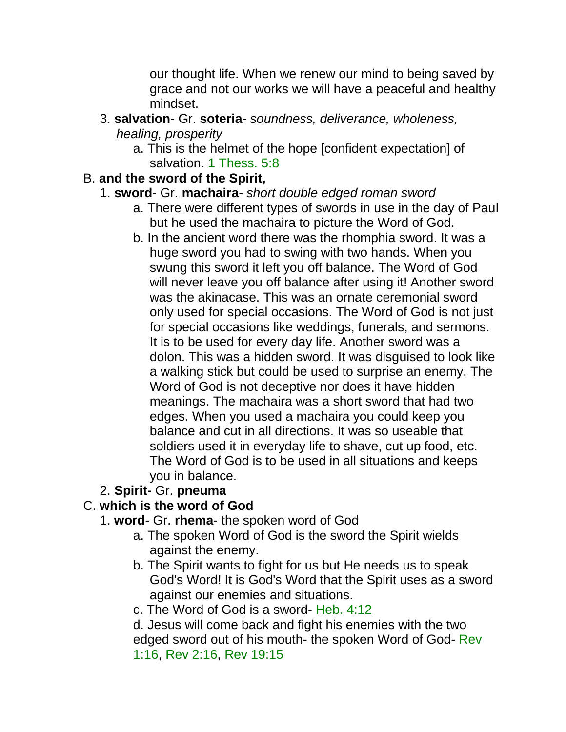our thought life. When we renew our mind to being saved by grace and not our works we will have a peaceful and healthy mindset.

- 3. **salvation** Gr. **soteria** *soundness, deliverance, wholeness, healing, prosperity*
	- a. This is the helmet of the hope [confident expectation] of salvation. 1 Thess. 5:8

### B. **and the sword of the Spirit,**

## 1. **sword**- Gr. **machaira**- *short double edged roman sword*

- a. There were different types of swords in use in the day of Paul but he used the machaira to picture the Word of God.
- b. In the ancient word there was the rhomphia sword. It was a huge sword you had to swing with two hands. When you swung this sword it left you off balance. The Word of God will never leave you off balance after using it! Another sword was the akinacase. This was an ornate ceremonial sword only used for special occasions. The Word of God is not just for special occasions like weddings, funerals, and sermons. It is to be used for every day life. Another sword was a dolon. This was a hidden sword. It was disguised to look like a walking stick but could be used to surprise an enemy. The Word of God is not deceptive nor does it have hidden meanings. The machaira was a short sword that had two edges. When you used a machaira you could keep you balance and cut in all directions. It was so useable that soldiers used it in everyday life to shave, cut up food, etc. The Word of God is to be used in all situations and keeps you in balance.

## 2. **Spirit-** Gr. **pneuma**

## C. **which is the word of God**

- 1. **word** Gr. **rhema** the spoken word of God
	- a. The spoken Word of God is the sword the Spirit wields against the enemy.
	- b. The Spirit wants to fight for us but He needs us to speak God's Word! It is God's Word that the Spirit uses as a sword against our enemies and situations.
	- c. The Word of God is a sword- Heb. 4:12

d. Jesus will come back and fight his enemies with the two edged sword out of his mouth- the spoken Word of God- Rev 1:16, Rev 2:16, Rev 19:15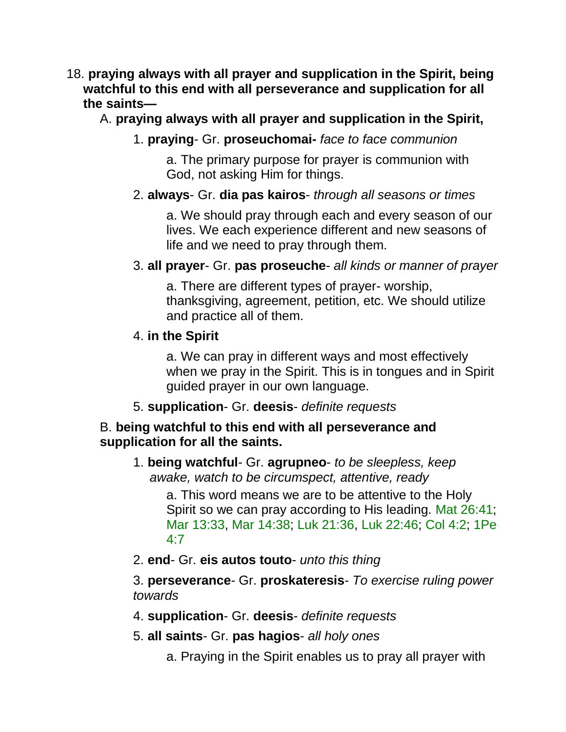- 18. **praying always with all prayer and supplication in the Spirit, being watchful to this end with all perseverance and supplication for all the saints—**
	- A. **praying always with all prayer and supplication in the Spirit,**
		- 1. **praying** Gr. **proseuchomai-** *face to face communion*

a. The primary purpose for prayer is communion with God, not asking Him for things.

#### 2. **always**- Gr. **dia pas kairos**- *through all seasons or times*

a. We should pray through each and every season of our lives. We each experience different and new seasons of life and we need to pray through them.

3. **all prayer**- Gr. **pas proseuche**- *all kinds or manner of prayer*

a. There are different types of prayer- worship, thanksgiving, agreement, petition, etc. We should utilize and practice all of them.

#### 4. **in the Spirit**

a. We can pray in different ways and most effectively when we pray in the Spirit. This is in tongues and in Spirit guided prayer in our own language.

5. **supplication**- Gr. **deesis**- *definite requests*

### B. **being watchful to this end with all perseverance and supplication for all the saints.**

1. **being watchful**- Gr. **agrupneo**- *to be sleepless, keep awake, watch to be circumspect, attentive, ready*

a. This word means we are to be attentive to the Holy Spirit so we can pray according to His leading. Mat 26:41; Mar 13:33, Mar 14:38; Luk 21:36, Luk 22:46; Col 4:2; 1Pe 4:7

2. **end**- Gr. **eis autos touto**- *unto this thing*

3. **perseverance**- Gr. **proskateresis**- *To exercise ruling power towards*

- 4. **supplication** Gr. **deesis** *definite requests*
- 5. **all saints** Gr. **pas hagios** *all holy ones*
	- a. Praying in the Spirit enables us to pray all prayer with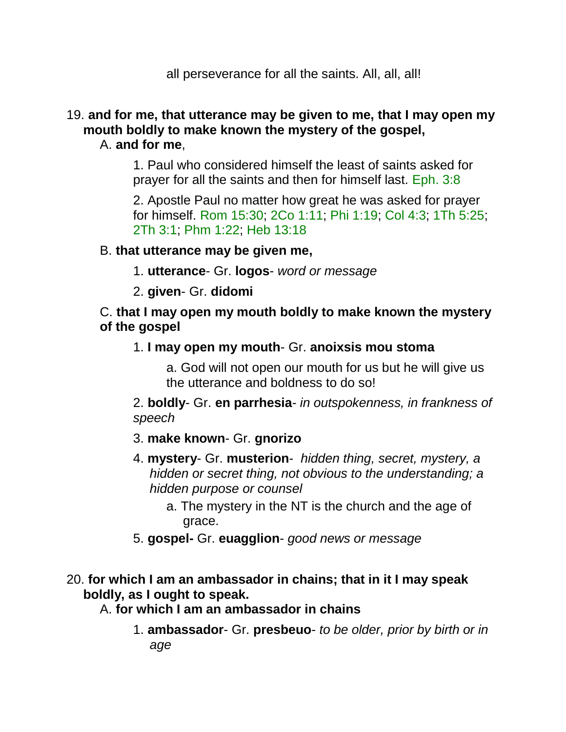all perseverance for all the saints. All, all, all!

#### 19. **and for me, that utterance may be given to me, that I may open my mouth boldly to make known the mystery of the gospel,**  A. **and for me**,

1. Paul who considered himself the least of saints asked for prayer for all the saints and then for himself last. Eph. 3:8

2. Apostle Paul no matter how great he was asked for prayer for himself. Rom 15:30; 2Co 1:11; Phi 1:19; Col 4:3; 1Th 5:25; 2Th 3:1; Phm 1:22; Heb 13:18

#### B. **that utterance may be given me,**

- 1. **utterance** Gr. **logos** *word or message*
- 2. **given** Gr. **didomi**

#### C. **that I may open my mouth boldly to make known the mystery of the gospel**

1. **I may open my mouth**- Gr. **anoixsis mou stoma**

a. God will not open our mouth for us but he will give us the utterance and boldness to do so!

2. **boldly**- Gr. **en parrhesia**- *in outspokenness, in frankness of speech*

- 3. **make known** Gr. **gnorizo**
- 4. **mystery** Gr. **musterion** *hidden thing, secret, mystery, a hidden or secret thing, not obvious to the understanding; a hidden purpose or counsel*
	- a. The mystery in the NT is the church and the age of grace.
- 5. **gospel-** Gr. **euagglion** *good news or message*

### 20. **for which I am an ambassador in chains; that in it I may speak boldly, as I ought to speak.**

A. **for which I am an ambassador in chains**

1. **ambassador**- Gr. **presbeuo**- *to be older, prior by birth or in age*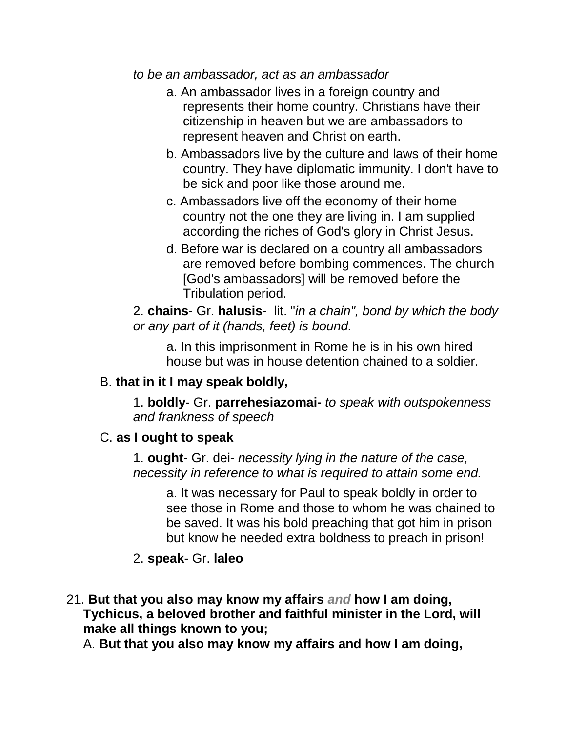*to be an ambassador, act as an ambassador*

- a. An ambassador lives in a foreign country and represents their home country. Christians have their citizenship in heaven but we are ambassadors to represent heaven and Christ on earth.
- b. Ambassadors live by the culture and laws of their home country. They have diplomatic immunity. I don't have to be sick and poor like those around me.
- c. Ambassadors live off the economy of their home country not the one they are living in. I am supplied according the riches of God's glory in Christ Jesus.
- d. Before war is declared on a country all ambassadors are removed before bombing commences. The church [God's ambassadors] will be removed before the Tribulation period.

2. **chains**- Gr. **halusis**- lit. "*in a chain", bond by which the body or any part of it (hands, feet) is bound.*

a. In this imprisonment in Rome he is in his own hired house but was in house detention chained to a soldier.

#### B. **that in it I may speak boldly,**

1. **boldly**- Gr. **parrehesiazomai-** *to speak with outspokenness and frankness of speech*

### C. **as I ought to speak**

1. **ought**- Gr. dei- *necessity lying in the nature of the case, necessity in reference to what is required to attain some end.*

a. It was necessary for Paul to speak boldly in order to see those in Rome and those to whom he was chained to be saved. It was his bold preaching that got him in prison but know he needed extra boldness to preach in prison!

## 2. **speak**- Gr. **laleo**

21. **But that you also may know my affairs** *and* **how I am doing, Tychicus, a beloved brother and faithful minister in the Lord, will make all things known to you;** 

A. **But that you also may know my affairs and how I am doing,**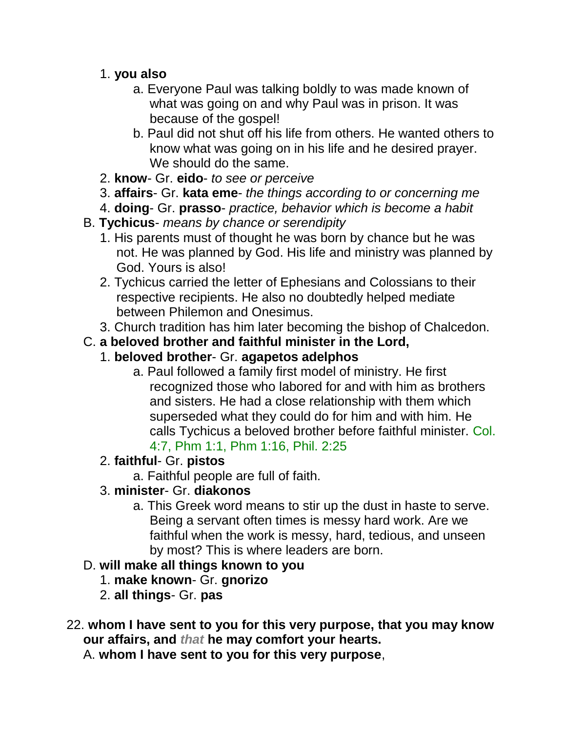- 1. **you also**
	- a. Everyone Paul was talking boldly to was made known of what was going on and why Paul was in prison. It was because of the gospel!
	- b. Paul did not shut off his life from others. He wanted others to know what was going on in his life and he desired prayer. We should do the same.
- 2. **know** Gr. **eido** *to see or perceive*
- 3. **affairs** Gr. **kata eme** *the things according to or concerning me*
- 4. **doing** Gr. **prasso** *practice, behavior which is become a habit*
- B. **Tychicus** *means by chance or serendipity*
	- 1. His parents must of thought he was born by chance but he was not. He was planned by God. His life and ministry was planned by God. Yours is also!
	- 2. Tychicus carried the letter of Ephesians and Colossians to their respective recipients. He also no doubtedly helped mediate between Philemon and Onesimus.
	- 3. Church tradition has him later becoming the bishop of Chalcedon.
- C. **a beloved brother and faithful minister in the Lord,**
	- 1. **beloved brother** Gr. **agapetos adelphos**
		- a. Paul followed a family first model of ministry. He first recognized those who labored for and with him as brothers and sisters. He had a close relationship with them which superseded what they could do for him and with him. He calls Tychicus a beloved brother before faithful minister. Col. 4:7, Phm 1:1, Phm 1:16, Phil. 2:25
	- 2. **faithful** Gr. **pistos**
		- a. Faithful people are full of faith.
	- 3. **minister** Gr. **diakonos**
		- a. This Greek word means to stir up the dust in haste to serve. Being a servant often times is messy hard work. Are we faithful when the work is messy, hard, tedious, and unseen by most? This is where leaders are born.

## D. **will make all things known to you**

- 1. **make known** Gr. **gnorizo**
- 2. **all things** Gr. **pas**
- 22. **whom I have sent to you for this very purpose, that you may know our affairs, and** *that* **he may comfort your hearts.**

A. **whom I have sent to you for this very purpose**,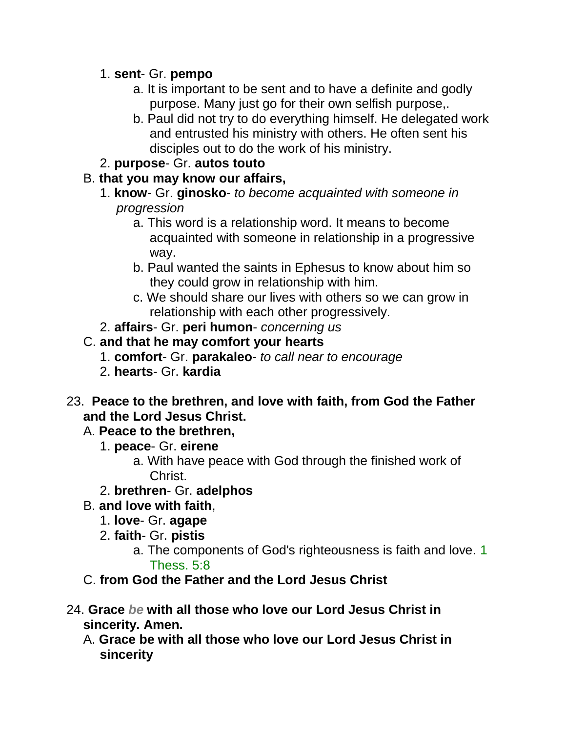#### 1. **sent**- Gr. **pempo**

- a. It is important to be sent and to have a definite and godly purpose. Many just go for their own selfish purpose,.
- b. Paul did not try to do everything himself. He delegated work and entrusted his ministry with others. He often sent his disciples out to do the work of his ministry.

## 2. **purpose**- Gr. **autos touto**

## B. **that you may know our affairs,**

- 1. **know** Gr. **ginosko** *to become acquainted with someone in progression*
	- a. This word is a relationship word. It means to become acquainted with someone in relationship in a progressive way.
	- b. Paul wanted the saints in Ephesus to know about him so they could grow in relationship with him.
	- c. We should share our lives with others so we can grow in relationship with each other progressively.
- 2. **affairs** Gr. **peri humon** *concerning us*

## C. **and that he may comfort your hearts**

- 1. **comfort** Gr. **parakaleo** *to call near to encourage*
- 2. **hearts** Gr. **kardia**
- 23. **Peace to the brethren, and love with faith, from God the Father and the Lord Jesus Christ.**

## A. **Peace to the brethren,**

- 1. **peace** Gr. **eirene**
	- a. With have peace with God through the finished work of Christ.
- 2. **brethren** Gr. **adelphos**
- B. **and love with faith**,
	- 1. **love** Gr. **agape**
	- 2. **faith** Gr. **pistis**
		- a. The components of God's righteousness is faith and love. 1 Thess. 5:8
- C. **from God the Father and the Lord Jesus Christ**
- 24. **Grace** *be* **with all those who love our Lord Jesus Christ in sincerity. Amen.** 
	- A. **Grace be with all those who love our Lord Jesus Christ in sincerity**